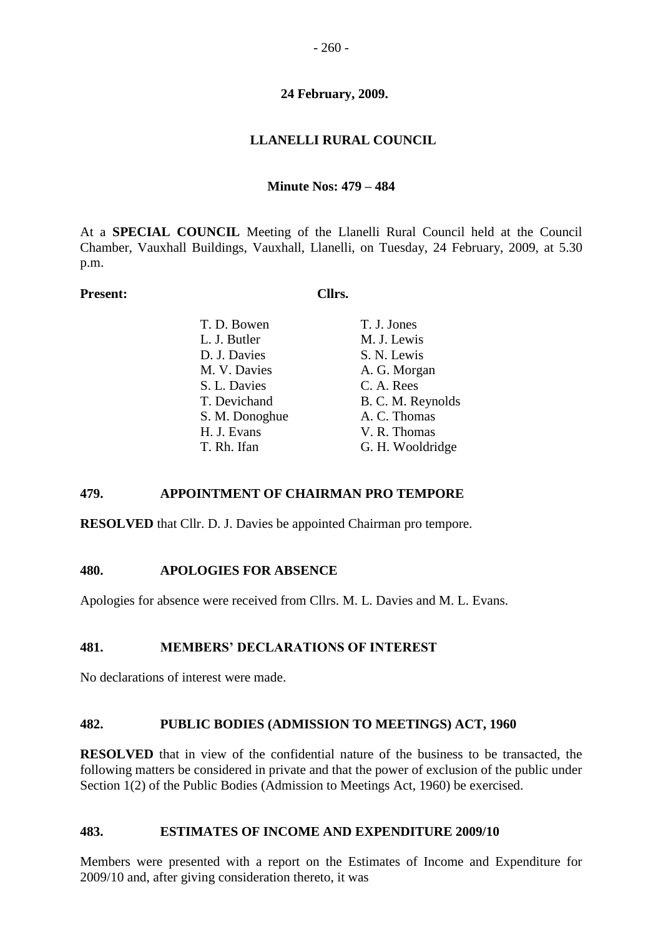## **24 February, 2009.**

## **LLANELLI RURAL COUNCIL**

### **Minute Nos: 479 – 484**

At a **SPECIAL COUNCIL** Meeting of the Llanelli Rural Council held at the Council Chamber, Vauxhall Buildings, Vauxhall, Llanelli, on Tuesday, 24 February, 2009, at 5.30 p.m.

### Present: Cllrs.

| T. D. Bowen                  | T. J. Jones                |
|------------------------------|----------------------------|
| L. J. Butler<br>D. J. Davies | M. J. Lewis<br>S. N. Lewis |
| M. V. Davies                 | A. G. Morgan               |
| S. L. Davies                 | C. A. Rees                 |
| T. Devichand                 | B. C. M. Reynolds          |
| S. M. Donoghue               | A. C. Thomas               |
| H. J. Evans                  | V. R. Thomas               |
| T. Rh. Ifan                  | G. H. Wooldridge           |

### **479. APPOINTMENT OF CHAIRMAN PRO TEMPORE**

**RESOLVED** that Cllr. D. J. Davies be appointed Chairman pro tempore.

### **480. APOLOGIES FOR ABSENCE**

Apologies for absence were received from Cllrs. M. L. Davies and M. L. Evans.

### **481. MEMBERS' DECLARATIONS OF INTEREST**

No declarations of interest were made.

### **482. PUBLIC BODIES (ADMISSION TO MEETINGS) ACT, 1960**

**RESOLVED** that in view of the confidential nature of the business to be transacted, the following matters be considered in private and that the power of exclusion of the public under Section 1(2) of the Public Bodies (Admission to Meetings Act, 1960) be exercised.

### **483. ESTIMATES OF INCOME AND EXPENDITURE 2009/10**

Members were presented with a report on the Estimates of Income and Expenditure for 2009/10 and, after giving consideration thereto, it was